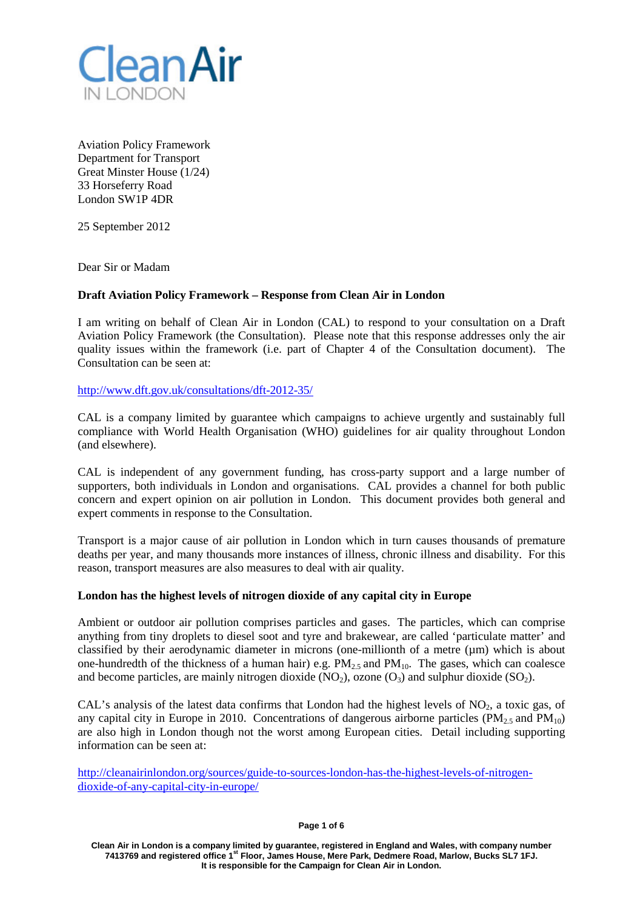

Aviation Policy Framework Department for Transport Great Minster House (1/24) 33 Horseferry Road London SW1P 4DR

25 September 2012

Dear Sir or Madam

# **Draft Aviation Policy Framework – Response from Clean Air in London**

I am writing on behalf of Clean Air in London (CAL) to respond to your consultation on a Draft Aviation Policy Framework (the Consultation). Please note that this response addresses only the air quality issues within the framework (i.e. part of Chapter 4 of the Consultation document). The Consultation can be seen at:

<http://www.dft.gov.uk/consultations/dft-2012-35/>

CAL is a company limited by guarantee which campaigns to achieve urgently and sustainably full compliance with World Health Organisation (WHO) guidelines for air quality throughout London (and elsewhere).

CAL is independent of any government funding, has cross-party support and a large number of supporters, both individuals in London and organisations. CAL provides a channel for both public concern and expert opinion on air pollution in London. This document provides both general and expert comments in response to the Consultation.

Transport is a major cause of air pollution in London which in turn causes thousands of premature deaths per year, and many thousands more instances of illness, chronic illness and disability. For this reason, transport measures are also measures to deal with air quality.

## **London has the highest levels of nitrogen dioxide of any capital city in Europe**

Ambient or outdoor air pollution comprises particles and gases. The particles, which can comprise anything from tiny droplets to diesel soot and tyre and brakewear, are called 'particulate matter' and classified by their aerodynamic diameter in microns (one-millionth of a metre (µm) which is about one-hundredth of the thickness of a human hair) e.g.  $PM_{2.5}$  and  $PM_{10}$ . The gases, which can coalesce and become particles, are mainly nitrogen dioxide  $(NO<sub>2</sub>)$ , ozone  $(O<sub>3</sub>)$  and sulphur dioxide  $(SO<sub>2</sub>)$ .

CAL's analysis of the latest data confirms that London had the highest levels of  $NO<sub>2</sub>$ , a toxic gas, of any capital city in Europe in 2010. Concentrations of dangerous airborne particles ( $PM<sub>25</sub>$  and  $PM<sub>10</sub>$ ) are also high in London though not the worst among European cities. Detail including supporting information can be seen at:

[http://cleanairinlondon.org/sources/guide-to-sources-london-has-the-highest-levels-of-nitrogen](http://cleanairinlondon.org/sources/guide-to-sources-london-has-the-highest-levels-of-nitrogen-dioxide-of-any-capital-city-in-europe/)[dioxide-of-any-capital-city-in-europe/](http://cleanairinlondon.org/sources/guide-to-sources-london-has-the-highest-levels-of-nitrogen-dioxide-of-any-capital-city-in-europe/)

**Page 1 of 6**

**Clean Air in London is a company limited by guarantee, registered in England and Wales, with company number 7413769 and registered office 1st Floor, James House, Mere Park, Dedmere Road, Marlow, Bucks SL7 1FJ. It is responsible for the Campaign for Clean Air in London.**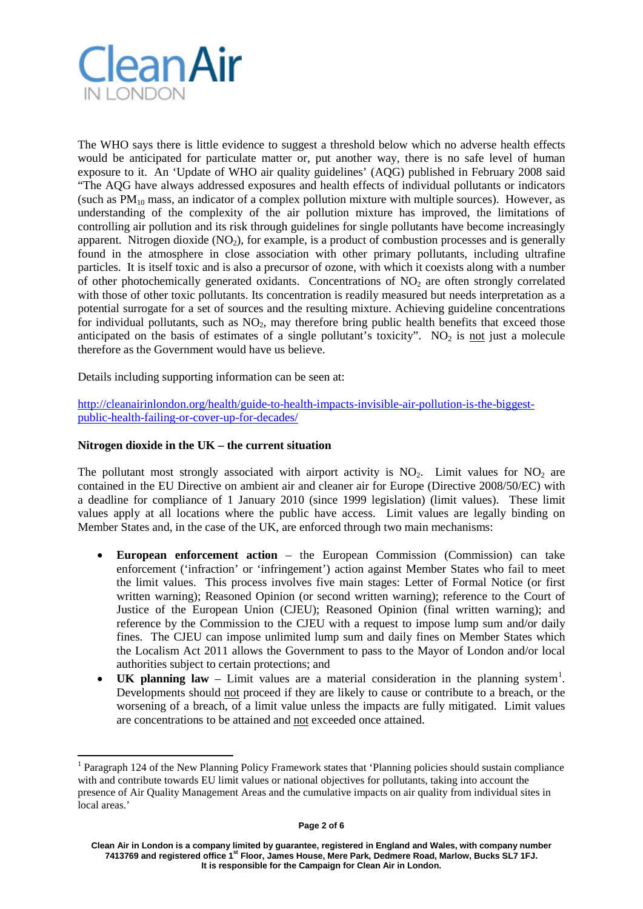

The WHO says there is little evidence to suggest a threshold below which no adverse health effects would be anticipated for particulate matter or, put another way, there is no safe level of human exposure to it. An 'Update of WHO air quality guidelines' (AQG) published in February 2008 said "The AQG have always addressed exposures and health effects of individual pollutants or indicators (such as  $PM_{10}$  mass, an indicator of a complex pollution mixture with multiple sources). However, as understanding of the complexity of the air pollution mixture has improved, the limitations of controlling air pollution and its risk through guidelines for single pollutants have become increasingly apparent. Nitrogen dioxide  $(NO<sub>2</sub>)$ , for example, is a product of combustion processes and is generally found in the atmosphere in close association with other primary pollutants, including ultrafine particles. It is itself toxic and is also a precursor of ozone, with which it coexists along with a number of other photochemically generated oxidants. Concentrations of  $NO<sub>2</sub>$  are often strongly correlated with those of other toxic pollutants. Its concentration is readily measured but needs interpretation as a potential surrogate for a set of sources and the resulting mixture. Achieving guideline concentrations for individual pollutants, such as  $NO<sub>2</sub>$ , may therefore bring public health benefits that exceed those anticipated on the basis of estimates of a single pollutant's toxicity".  $NO<sub>2</sub>$  is not just a molecule therefore as the Government would have us believe.

Details including supporting information can be seen at:

[http://cleanairinlondon.org/health/guide-to-health-impacts-invisible-air-pollution-is-the-biggest](http://cleanairinlondon.org/health/guide-to-health-impacts-invisible-air-pollution-is-the-biggest-public-health-failing-or-cover-up-for-decades/)[public-health-failing-or-cover-up-for-decades/](http://cleanairinlondon.org/health/guide-to-health-impacts-invisible-air-pollution-is-the-biggest-public-health-failing-or-cover-up-for-decades/)

### **Nitrogen dioxide in the UK – the current situation**

The pollutant most strongly associated with airport activity is  $NO<sub>2</sub>$ . Limit values for  $NO<sub>2</sub>$  are contained in the EU Directive on ambient air and cleaner air for Europe (Directive 2008/50/EC) with a deadline for compliance of 1 January 2010 (since 1999 legislation) (limit values). These limit values apply at all locations where the public have access. Limit values are legally binding on Member States and, in the case of the UK, are enforced through two main mechanisms:

- **European enforcement action** the European Commission (Commission) can take enforcement ('infraction' or 'infringement') action against Member States who fail to meet the limit values. This process involves five main stages: Letter of Formal Notice (or first written warning); Reasoned Opinion (or second written warning); reference to the Court of Justice of the European Union (CJEU); Reasoned Opinion (final written warning); and reference by the Commission to the CJEU with a request to impose lump sum and/or daily fines. The CJEU can impose unlimited lump sum and daily fines on Member States which the Localism Act 2011 allows the Government to pass to the Mayor of London and/or local authorities subject to certain protections; and
- **UK planning law** Limit values are a material consideration in the planning system<sup>[1](#page-1-0)</sup>. Developments should not proceed if they are likely to cause or contribute to a breach, or the worsening of a breach, of a limit value unless the impacts are fully mitigated. Limit values are concentrations to be attained and not exceeded once attained.

<span id="page-1-0"></span><sup>&</sup>lt;sup>1</sup> Paragraph 124 of the New Planning Policy Framework states that 'Planning policies should sustain compliance with and contribute towards EU limit values or national objectives for pollutants, taking into account the presence of Air Quality Management Areas and the cumulative impacts on air quality from individual sites in local areas.'

**Clean Air in London is a company limited by guarantee, registered in England and Wales, with company number 7413769 and registered office 1st Floor, James House, Mere Park, Dedmere Road, Marlow, Bucks SL7 1FJ. It is responsible for the Campaign for Clean Air in London.**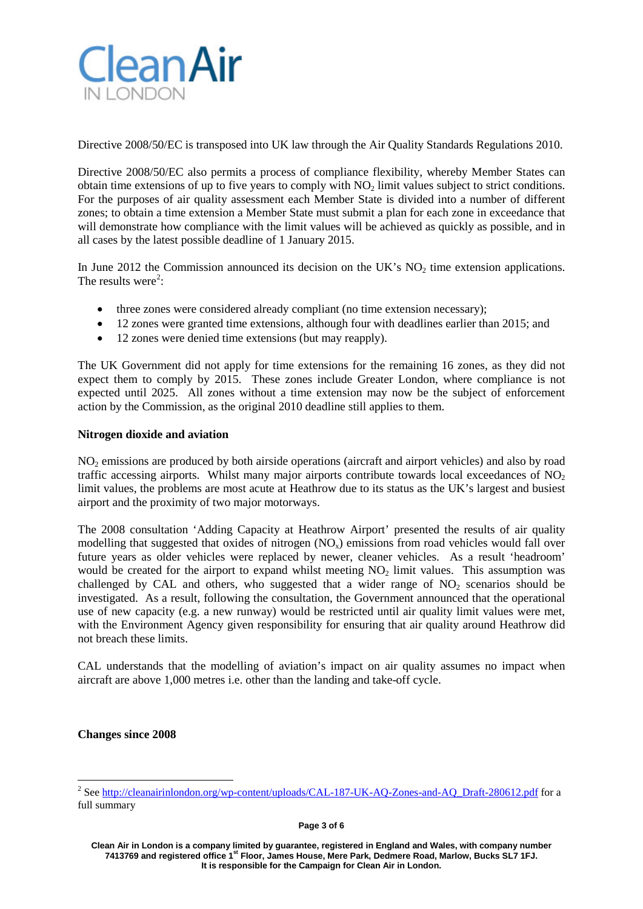

Directive 2008/50/EC is transposed into UK law through the Air Quality Standards Regulations 2010.

Directive 2008/50/EC also permits a process of compliance flexibility, whereby Member States can obtain time extensions of up to five years to comply with  $NO<sub>2</sub>$  limit values subject to strict conditions. For the purposes of air quality assessment each Member State is divided into a number of different zones; to obtain a time extension a Member State must submit a plan for each zone in exceedance that will demonstrate how compliance with the limit values will be achieved as quickly as possible, and in all cases by the latest possible deadline of 1 January 2015.

In June 2012 the Commission announced its decision on the UK's  $NO<sub>2</sub>$  time extension applications. The results were<sup>[2](#page-2-0)</sup>:

- three zones were considered already compliant (no time extension necessary);
- 12 zones were granted time extensions, although four with deadlines earlier than 2015; and
- 12 zones were denied time extensions (but may reapply).

The UK Government did not apply for time extensions for the remaining 16 zones, as they did not expect them to comply by 2015. These zones include Greater London, where compliance is not expected until 2025. All zones without a time extension may now be the subject of enforcement action by the Commission, as the original 2010 deadline still applies to them.

### **Nitrogen dioxide and aviation**

NO2 emissions are produced by both airside operations (aircraft and airport vehicles) and also by road traffic accessing airports. Whilst many major airports contribute towards local exceedances of  $NO<sub>2</sub>$ limit values, the problems are most acute at Heathrow due to its status as the UK's largest and busiest airport and the proximity of two major motorways.

The 2008 consultation 'Adding Capacity at Heathrow Airport' presented the results of air quality modelling that suggested that oxides of nitrogen  $(NO<sub>x</sub>)$  emissions from road vehicles would fall over future years as older vehicles were replaced by newer, cleaner vehicles. As a result 'headroom' would be created for the airport to expand whilst meeting  $NO<sub>2</sub>$  limit values. This assumption was challenged by CAL and others, who suggested that a wider range of  $NO<sub>2</sub>$  scenarios should be investigated. As a result, following the consultation, the Government announced that the operational use of new capacity (e.g. a new runway) would be restricted until air quality limit values were met, with the Environment Agency given responsibility for ensuring that air quality around Heathrow did not breach these limits.

CAL understands that the modelling of aviation's impact on air quality assumes no impact when aircraft are above 1,000 metres i.e. other than the landing and take-off cycle.

### **Changes since 2008**

<span id="page-2-0"></span><sup>&</sup>lt;sup>2</sup> See http://cleanairinlondon<u>.org/wp-content/uploads/CAL-187-UK-AQ-Zones-and-AQ\_Draft-280612.pdf</u> for a full summary

**Clean Air in London is a company limited by guarantee, registered in England and Wales, with company number 7413769 and registered office 1st Floor, James House, Mere Park, Dedmere Road, Marlow, Bucks SL7 1FJ. It is responsible for the Campaign for Clean Air in London.**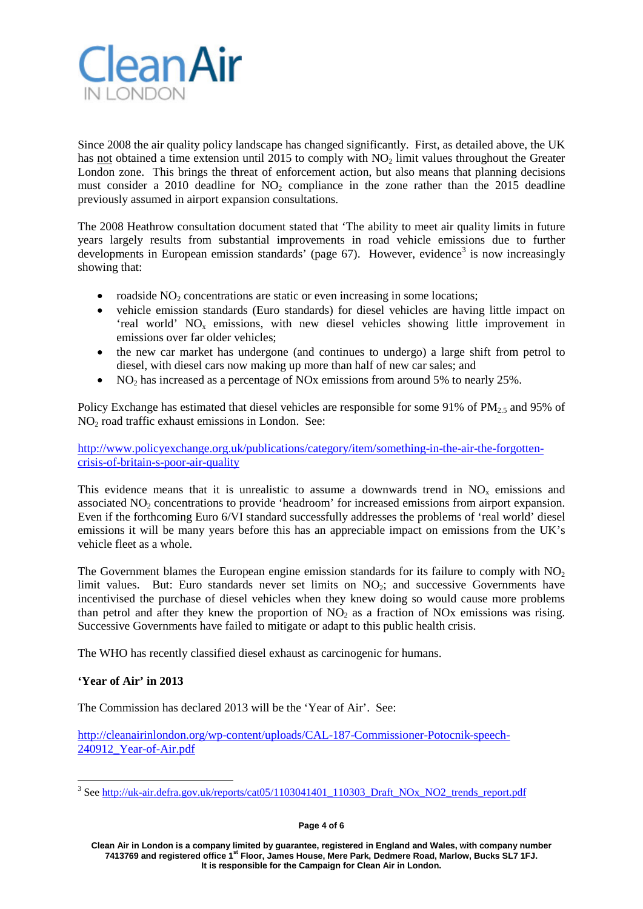

Since 2008 the air quality policy landscape has changed significantly. First, as detailed above, the UK has not obtained a time extension until 2015 to comply with  $NO<sub>2</sub>$  limit values throughout the Greater London zone. This brings the threat of enforcement action, but also means that planning decisions must consider a 2010 deadline for  $NO<sub>2</sub>$  compliance in the zone rather than the 2015 deadline previously assumed in airport expansion consultations.

The 2008 Heathrow consultation document stated that 'The ability to meet air quality limits in future years largely results from substantial improvements in road vehicle emissions due to further developments in European emission standards' (page  $67$ ). However, evidence<sup>[3](#page-3-0)</sup> is now increasingly showing that:

- roadside  $NO<sub>2</sub>$  concentrations are static or even increasing in some locations;
- vehicle emission standards (Euro standards) for diesel vehicles are having little impact on 'real world' NOx emissions, with new diesel vehicles showing little improvement in emissions over far older vehicles;
- the new car market has undergone (and continues to undergo) a large shift from petrol to diesel, with diesel cars now making up more than half of new car sales; and
- NO<sub>2</sub> has increased as a percentage of NO<sub>x</sub> emissions from around 5% to nearly 25%.

Policy Exchange has estimated that diesel vehicles are responsible for some 91% of PM<sub>2.5</sub> and 95% of NO<sub>2</sub> road traffic exhaust emissions in London. See:

[http://www.policyexchange.org.uk/publications/category/item/something-in-the-air-the-forgotten](http://www.policyexchange.org.uk/publications/category/item/something-in-the-air-the-forgotten-crisis-of-britain-s-poor-air-quality)[crisis-of-britain-s-poor-air-quality](http://www.policyexchange.org.uk/publications/category/item/something-in-the-air-the-forgotten-crisis-of-britain-s-poor-air-quality)

This evidence means that it is unrealistic to assume a downwards trend in  $NO<sub>x</sub>$  emissions and associated NO<sub>2</sub> concentrations to provide 'headroom' for increased emissions from airport expansion. Even if the forthcoming Euro 6/VI standard successfully addresses the problems of 'real world' diesel emissions it will be many years before this has an appreciable impact on emissions from the UK's vehicle fleet as a whole.

The Government blames the European engine emission standards for its failure to comply with  $NO<sub>2</sub>$ limit values. But: Euro standards never set limits on  $NO<sub>2</sub>$ ; and successive Governments have incentivised the purchase of diesel vehicles when they knew doing so would cause more problems than petrol and after they knew the proportion of  $NO<sub>2</sub>$  as a fraction of  $NO<sub>X</sub>$  emissions was rising. Successive Governments have failed to mitigate or adapt to this public health crisis.

The WHO has recently classified diesel exhaust as carcinogenic for humans.

# **'Year of Air' in 2013**

The Commission has declared 2013 will be the 'Year of Air'. See:

[http://cleanairinlondon.org/wp-content/uploads/CAL-187-Commissioner-Potocnik-speech-](http://cleanairinlondon.org/wp-content/uploads/CAL-187-Commissioner-Potocnik-speech-240912_Year-of-Air.pdf)[240912\\_Year-of-Air.pdf](http://cleanairinlondon.org/wp-content/uploads/CAL-187-Commissioner-Potocnik-speech-240912_Year-of-Air.pdf)

#### **Page 4 of 6**

**Clean Air in London is a company limited by guarantee, registered in England and Wales, with company number 7413769 and registered office 1st Floor, James House, Mere Park, Dedmere Road, Marlow, Bucks SL7 1FJ. It is responsible for the Campaign for Clean Air in London.**

<span id="page-3-0"></span><sup>&</sup>lt;sup>3</sup> Se[e http://uk-air.defra.gov.uk/reports/cat05/1103041401\\_110303\\_Draft\\_NOx\\_NO2\\_trends\\_report.pdf](http://uk-air.defra.gov.uk/reports/cat05/1103041401_110303_Draft_NOx_NO2_trends_report.pdf)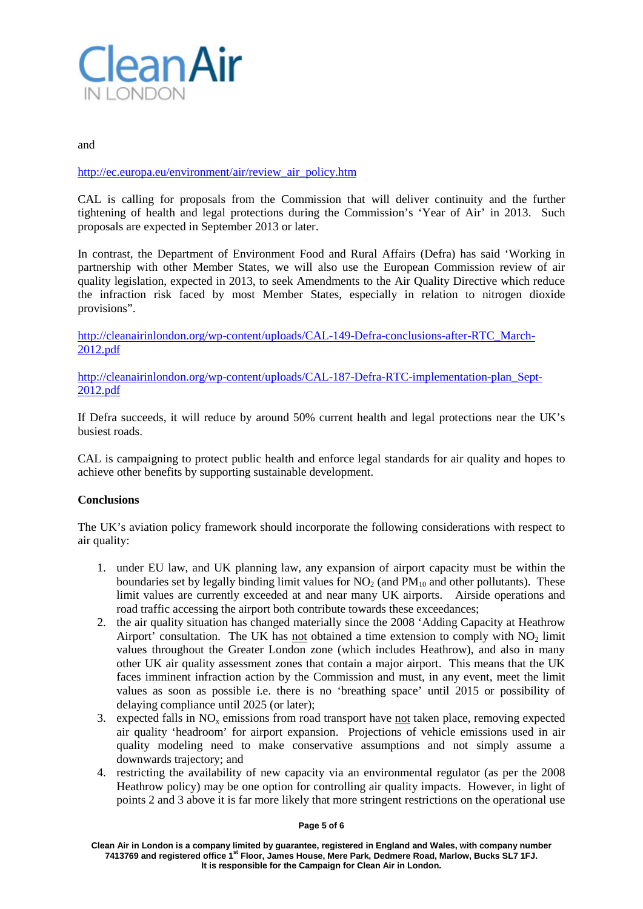

### and

## [http://ec.europa.eu/environment/air/review\\_air\\_policy.htm](http://ec.europa.eu/environment/air/review_air_policy.htm)

CAL is calling for proposals from the Commission that will deliver continuity and the further tightening of health and legal protections during the Commission's 'Year of Air' in 2013. Such proposals are expected in September 2013 or later.

In contrast, the Department of Environment Food and Rural Affairs (Defra) has said 'Working in partnership with other Member States, we will also use the European Commission review of air quality legislation, expected in 2013, to seek Amendments to the Air Quality Directive which reduce the infraction risk faced by most Member States, especially in relation to nitrogen dioxide provisions".

[http://cleanairinlondon.org/wp-content/uploads/CAL-149-Defra-conclusions-after-RTC\\_March-](http://cleanairinlondon.org/wp-content/uploads/CAL-149-Defra-conclusions-after-RTC_March-2012.pdf)[2012.pdf](http://cleanairinlondon.org/wp-content/uploads/CAL-149-Defra-conclusions-after-RTC_March-2012.pdf)

[http://cleanairinlondon.org/wp-content/uploads/CAL-187-Defra-RTC-implementation-plan\\_Sept-](http://cleanairinlondon.org/wp-content/uploads/CAL-187-Defra-RTC-implementation-plan_Sept-2012.pdf)[2012.pdf](http://cleanairinlondon.org/wp-content/uploads/CAL-187-Defra-RTC-implementation-plan_Sept-2012.pdf)

If Defra succeeds, it will reduce by around 50% current health and legal protections near the UK's busiest roads.

CAL is campaigning to protect public health and enforce legal standards for air quality and hopes to achieve other benefits by supporting sustainable development.

### **Conclusions**

The UK's aviation policy framework should incorporate the following considerations with respect to air quality:

- 1. under EU law, and UK planning law, any expansion of airport capacity must be within the boundaries set by legally binding limit values for  $NO<sub>2</sub>$  (and  $PM<sub>10</sub>$  and other pollutants). These limit values are currently exceeded at and near many UK airports. Airside operations and road traffic accessing the airport both contribute towards these exceedances;
- 2. the air quality situation has changed materially since the 2008 'Adding Capacity at Heathrow Airport' consultation. The UK has not obtained a time extension to comply with  $NO<sub>2</sub>$  limit values throughout the Greater London zone (which includes Heathrow), and also in many other UK air quality assessment zones that contain a major airport. This means that the UK faces imminent infraction action by the Commission and must, in any event, meet the limit values as soon as possible i.e. there is no 'breathing space' until 2015 or possibility of delaying compliance until 2025 (or later);
- 3. expected falls in NOx emissions from road transport have not taken place, removing expected air quality 'headroom' for airport expansion. Projections of vehicle emissions used in air quality modeling need to make conservative assumptions and not simply assume a downwards trajectory; and
- 4. restricting the availability of new capacity via an environmental regulator (as per the 2008 Heathrow policy) may be one option for controlling air quality impacts. However, in light of points 2 and 3 above it is far more likely that more stringent restrictions on the operational use

### **Page 5 of 6**

**Clean Air in London is a company limited by guarantee, registered in England and Wales, with company number 7413769 and registered office 1st Floor, James House, Mere Park, Dedmere Road, Marlow, Bucks SL7 1FJ. It is responsible for the Campaign for Clean Air in London.**